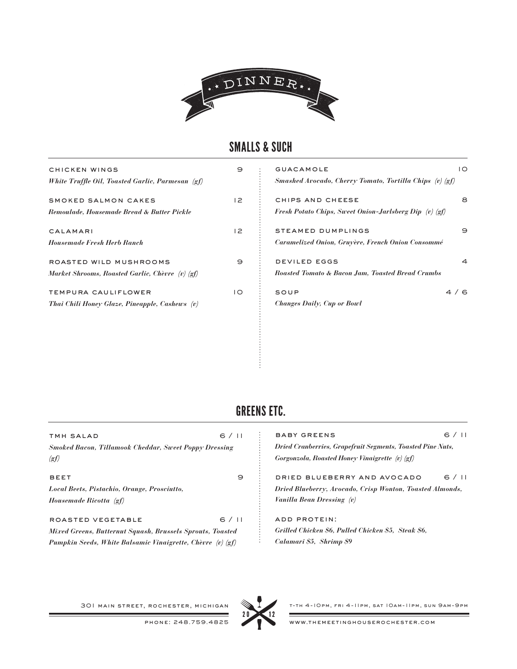

## SMALLS & SUCH

| CHICKEN WINGS                                         | 9              | <b>GUACAMOLE</b>                                              | $\overline{O}$ |
|-------------------------------------------------------|----------------|---------------------------------------------------------------|----------------|
| White Truffle Oil, Toasted Garlic, Parmesan (gf)      |                | Smashed Avocado, Cherry Tomato, Tortilla Chips (v) (gf)       |                |
| SMOKED SALMON CAKES                                   | 2              | CHIPS AND CHEESE                                              | 8              |
| <b>Remoulade, Housemade Bread &amp; Butter Pickle</b> |                | <b>Fresh Potato Chips, Sweet Onion-Jarlsberg Dip</b> (v) (gf) |                |
| CALAMARI                                              | 2              | <b>STEAMED DUMPLINGS</b>                                      | Э              |
| <b>Housemade Fresh Herb Ranch</b>                     |                | Caramelized Onion, Gruyère, French Onion Consommé             |                |
| ROASTED WILD MUSHROOMS                                | Э              | <b>DEVILED EGGS</b>                                           | $\overline{a}$ |
| Market Shrooms, Roasted Garlic, Chèvre (v) (gf)       |                | <b>Roasted Tomato &amp; Bacon Jam, Toasted Bread Crumbs</b>   |                |
| TEMPURA CAULIFLOWER                                   | $\overline{O}$ | SOUP                                                          | 4/6            |
| Thai Chili Honey Glaze, Pineapple, Cashews (v)        |                | <b>Changes Daily, Cup or Bowl</b>                             |                |
|                                                       |                |                                                               |                |
|                                                       |                |                                                               |                |
|                                                       |                |                                                               |                |
|                                                       |                |                                                               |                |
|                                                       |                |                                                               |                |

# GREENS ETC.

| TMH SALAD<br><b>Smoked Bacon, Tillamook Cheddar, Sweet Poppy Dressing</b><br>(gf)                                                            | 6/11 | <b>BABY GREENS</b><br><b>Dried Cranberries, Grapefruit Segments, Toasted Pine Nuts,</b><br>Gorgonzola, Roasted Honey Vinaigrette (v) (gf) | 6/11 |
|----------------------------------------------------------------------------------------------------------------------------------------------|------|-------------------------------------------------------------------------------------------------------------------------------------------|------|
| <b>BEET</b><br>Local Beets, Pistachio, Orange, Prosciutto,<br>Housemade Ricotta (gf)                                                         | 9    | DRIED BLUEBERRY AND AVOCADO<br>Dried Blueberry, Avocado, Crisp Wonton, Toasted Almonds,<br>Vanilla Bean Dressing (v)                      | 6/11 |
| ROASTED VEGETABLE<br>Mixed Greens, Butternut Squash, Brussels Sprouts, Toasted<br>Pumpkin Seeds, White Balsamic Vinaigrette, Chèvre (v) (gf) | 6/11 | ADD PROTEIN:<br>Grilled Chicken \$6, Pulled Chicken \$5, Steak \$6,<br>Calamari \$5, Shrimp \$9                                           |      |

301 main street, rochester, michigan



t-th 4-10pm, fri 4-11pm, sat 10am-11pm, sun 9am-9pm

www.themeetinghouserochester.com